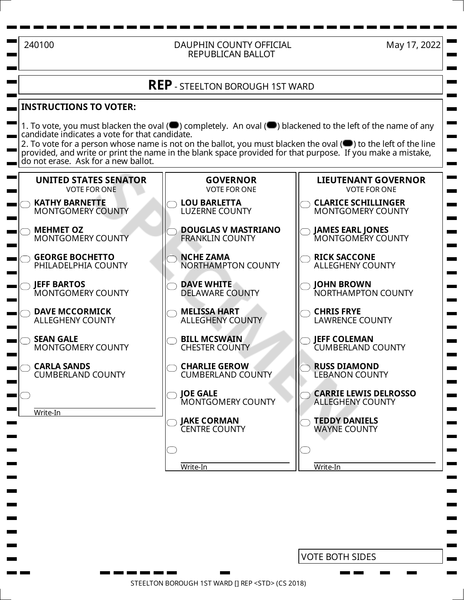## 240100 DAUPHIN COUNTY OFFICIAL REPUBLICAN BALLOT

## **REP** - STEELTON BOROUGH 1ST WARD

## **INSTRUCTIONS TO VOTER:**

1. To vote, you must blacken the oval (●) completely. An oval (●) blackened to the left of the name of any candidate indicates a vote for that candidate.

2. To vote for a person whose name is not on the ballot, you must blacken the oval  $($ **)** to the left of the line provided, and write or print the name in the blank space provided for that purpose. If you make a mistake, do not erase. Ask for a new ballot.